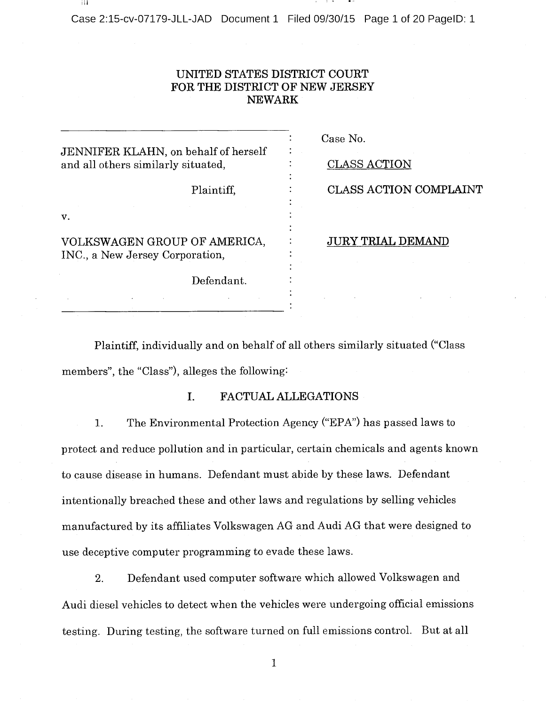-i I i

## UNITED STATES DISTRICT COURT FOR THE DISTRICT OF NEW JERSEY NEWARK

| JENNIFER KLAHN, on behalf of herself                            | Case No.                 |
|-----------------------------------------------------------------|--------------------------|
| and all others similarly situated,                              | <b>CLASS ACTION</b>      |
| Plaintiff,                                                      | CLASS ACTION COMPLAINT   |
| V.                                                              |                          |
| VOLKSWAGEN GROUP OF AMERICA,<br>INC., a New Jersey Corporation, | <b>JURY TRIAL DEMAND</b> |
| Defendant.                                                      |                          |
|                                                                 |                          |

Plaintiff, individually and on behalf of all others similarly situated ("Class members", the "Class"), alleges the following:

#### I. FACTUAL ALLEGATIONS

1. The Environmental Protection Agency ("EPA") has passed laws to protect and reduce pollution and in particular, certain chemicals and agents known to cause disease in humans. Defendant must abide by these laws. Defendant intentionally breached these and other laws and regulations by selling vehicles manufactured by its affiliates Volkswagen AG and Audi AG that were designed to use deceptive computer programming to evade these laws.

2. Defendant used computer software which allowed Volkswagen and Audi diesel vehicles to detect when the vehicles were undergoing official emissions testing. During testing, the software turned on full emissions control. But at all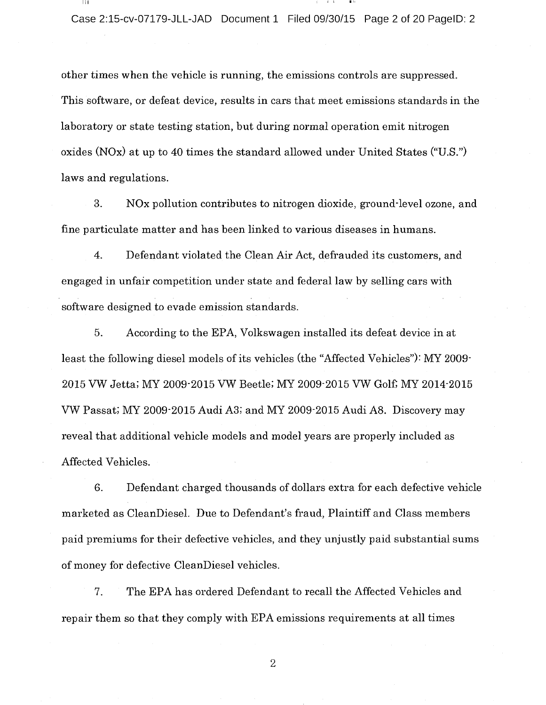other times when the vehicle is running, the emissions controls are suppressed. This software, or defeat device, results in cars that meet emissions standards in the laboratory or state testing station, but during normal operation emit nitrogen oxides (NOx) at up to 40 times the standard allowed under United States ("U.S.") laws and regulations.

3. NOx pollution contributes to nitrogen dioxide, ground-level ozone, and fine particulate matter and has been linked to various diseases in humans.

4. Defendant violated the Clean Air Act, defrauded its customers, and engaged in unfair competition under state and federal law by selling cars with software designed to evade emission standards.

5. According to the EPA, Volkswagen installed its defeat device in at least the following diesel models of its vehicles (the "Affected Vehicles"): MY 2009- 2015 VW Jetta; MY 2009-2015 VW Beetle; MY 2009-2015 VW Golf; MY 2014-2015 VW Passat; MY 2009-2015 Audi A3; and MY 2009-2015 Audi AS. Discovery may reveal that additional vehicle models and model years are properly included as Affected Vehicles.

6. Defendant charged thousands of dollars extra for each defective vehicle marketed as CleanDiesel. Due to Defendant's fraud, Plaintiff and Class members paid premiums for their defective vehicles, and they unjustly paid substantial sums of money for defective CleanDiesel vehicles.

7. The EPA has ordered Defendant to recall the Affected Vehicles and repair them so that they comply with EPA emissions requirements at all times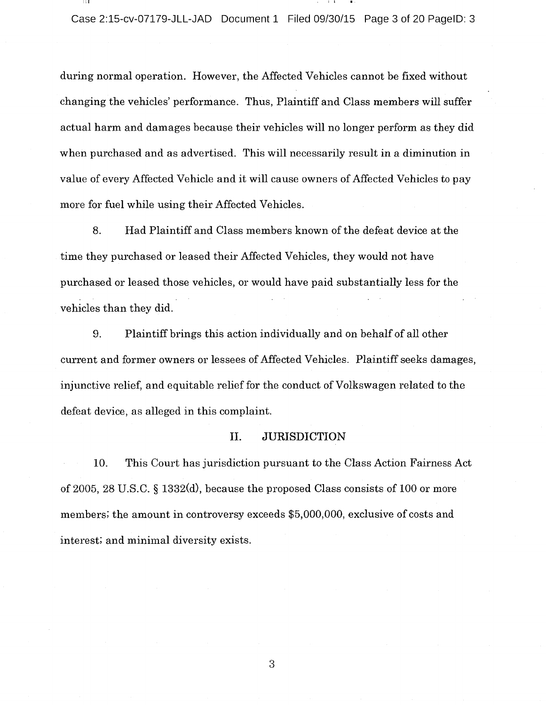during normal operation. However, the Affected Vehicles cannot be fixed without changing the vehicles' performance. Thus, Plaintiff and Class members will suffer actual harm and damages because their vehicles will no longer perform as they did when purchased and as advertised. This will necessarily result in <sup>a</sup> diminution in value of every Affected Vehicle and it will cause owners of Affected Vehicles to pay more for fuel while using their Affected Vehicles.

8. Had Plaintiff and Class members known of the defeat device at the time they purchased or leased their Affected Vehicles, they would not have purchased or leased those vehicles, or would have paid substantially less for the vehicles than they did.

9. Plaintiff brings this action individually and on behalf of all other current and former owners or lessees of Affected Vehicles. Plaintiff seeks damages, injunctive relief, and equitable relief for the conduct of Volkswagen related to the defeat device, as alleged in this complaint.

#### II. JURISDICTION

10. This Court has jurisdiction pursuant to the Class Action Fairness Act of 2005, 28 U.S.C.  $\S$  1332(d), because the proposed Class consists of 100 or more members; the amount in controversy exceeds \$5, 000,000, exclusive of costs and interest; and minimal diversity exists.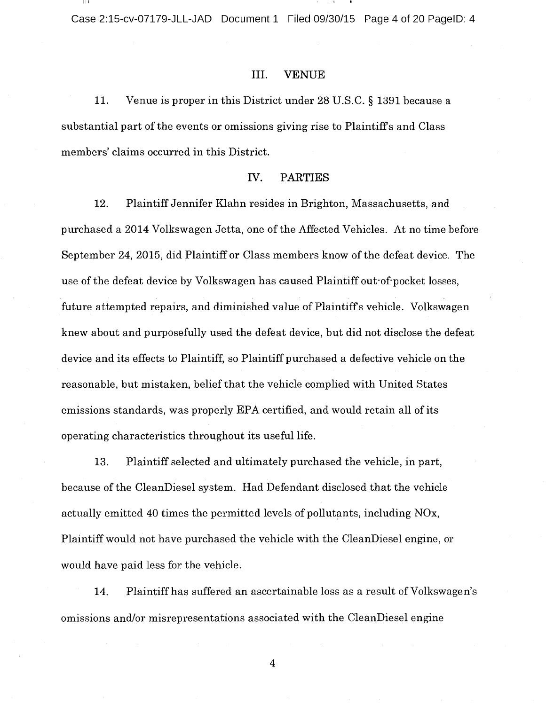Case 2:15-cv-07179-JLL-JAD Document 1 Filed 09/30/15 Page 4 of 20 PagelD: 4

#### III. VENUE

11. Venue is proper in this District under 28 U.S.C. § 1391 because a substantial part of the events or omissions giving rise to Plaintiffs and Class members' claims occurred in this District.

#### IV. PARTIES

12. Plaintiff Jennifer Klahn resides in Brighton, Massachusetts, and purchased <sup>a</sup> 2014 Volkswagen Jetta, one of the Affected Vehicles. At no time before September 24, 2015, did Plaintiff or Class members know of the defeat device. The use of the defeat device by Volkswagen has caused Plaintiff out-of-pocket losses, future attempted repairs, and diminished value of Plaintiff's vehicle. Volkswagen knew about and purposefully used the defeat device, but did not disclose the defeat device and its effects to Plaintiff, so Plaintiff purchased <sup>a</sup> defective vehicle on the reasonable, but mistaken, belief that the vehicle complied with United States emissions standards, was properly EPA certified, and would retain all of its operating characteristics throughout its useful life.

13. Plaintiff selected and ultimately purchased the vehicle, in part, because of the CleanDiesel system. Had Defendant disclosed that the vehicle actually emitted 40 times the permitted levels of pollutants, including NOx, Plaintiff would not have purchased the vehicle with the CleanDiesel engine, or would have paid less for the vehicle.

14. Plaintiff has suffered an ascertainable loss as a result of Volkswagen's omissions and/or misrepresentations associated with the CleanDiesel engine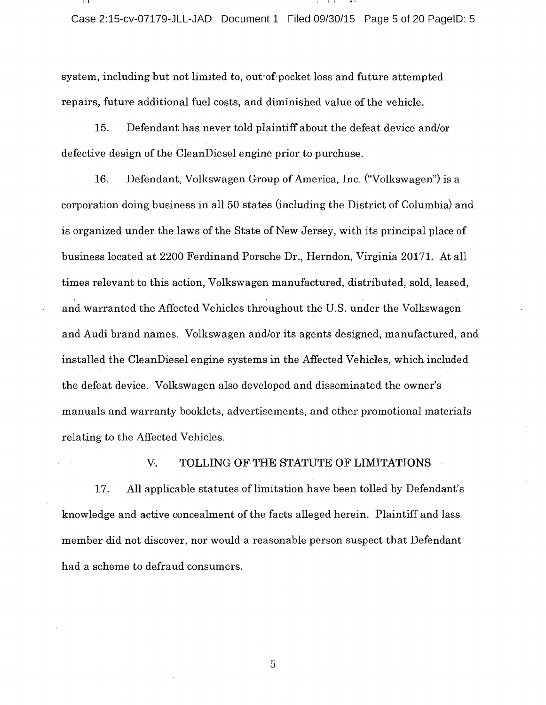Case 2:15-cv-07179-JLL-JAD Document 1 Filed 09/30/15 Page 5 of 20 PagelD: 5

system, including but not limited to, out-of-pocket loss and future attempted repairs, future additional fuel costs, and diminished value of the vehicle.

15. Defendant has never told plaintiff about the defeat device and/or defective design of the CleanDiesel engine prior to purchase.

16. Defendant, Volkswagen Group of America, Inc. ("Volkswagen") is a corporation doing business in all 50 states (including the District of Columbia) and is organized under the laws of the State of New Jersey, with its principal place of business located at 2200 Ferdinand Porsche Dr., Herndon, Virginia 20171. At all times relevant to this action, Volkswagen manufactured, distributed, sold, leased, and warranted the Affected Vehicles throughout the U.S. under the Volkswagen and Audi brand names. Volkswagen and/or its agents designed, manufactured, and installed the CleanDiesel engine systems in the Affected Vehicles, which included the defeat device. Volkswagen also developed and disseminated the owner's manuals and warranty booklets, advertisements, and other promotional materials relating to the Affected Vehicles.

### V. TOLLING OF THE STATUTE OF LIMITATIONS

17. All applicable statutes of limitation have been tolled by Defendant's knowledge and active concealment of the facts alleged herein. Plaintiff and lass member did not discover, nor would <sup>a</sup> reasonable person suspect that Defendant had a scheme to defraud consumers.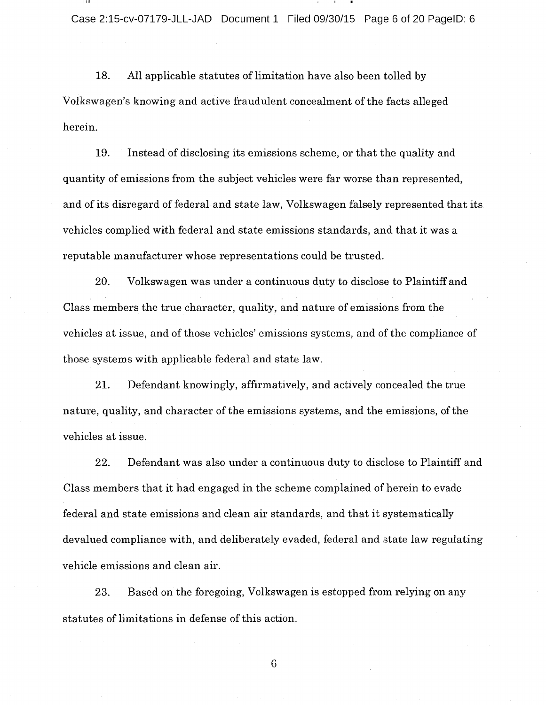18. All applicable statutes of limitation have also been tolled by Volkswagen's knowing and active fraudulent concealment of the facts alleged herein.

19. Instead of disclosing its emissions scheme, or that the quality and quantity of emissions from the subject vehicles were far worse than represented, and of its disregard of federal and state law, Volkswagen falsely represented that its vehicles complied with federal and state emissions standards, and that it was <sup>a</sup> reputable manufacturer whose representations could be trusted.

20. Volkswagen was under <sup>a</sup> continuous duty to disclose to Plaintiff and Class members the true character, quality, and nature of emissions from the vehicles at issue, and of those vehicles' emissions systems, and of the compliance of those systems with applicable federal and state law.

21. Defendant knowingly, affirmatively, and actively concealed the true nature, quality, and character of the emissions systems, and the emissions, of the vehicles at issue.

22. Defendant was also under <sup>a</sup> continuous duty to disclose to Plaintiff and Class members that it had engaged in the scheme complained of herein to evade federal and state emissions and clean air standards, and that it systematically devalued compliance with, and deliberately evaded, federal and state law regulating vehicle emissions and clean air.

23. Based on the foregoing, Volkswagen is estopped from relying on any statutes of limitations in defense of this action.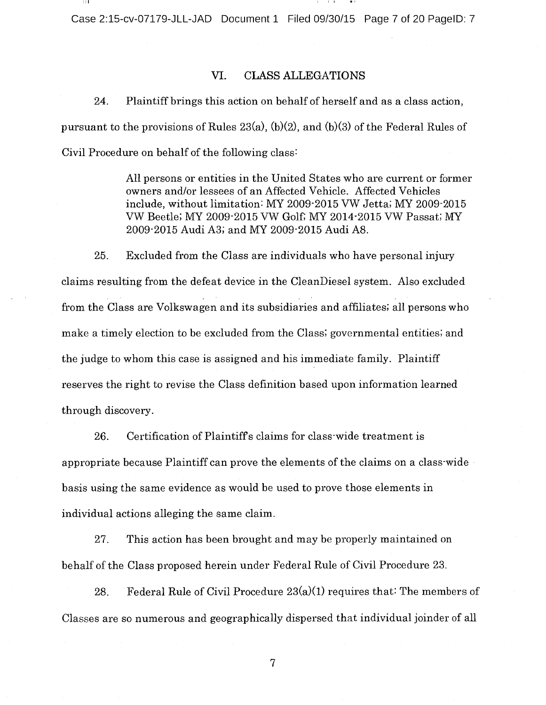Case 2:15-cv-07179-JLL-JAD Document 1 Filed 09/30/15 Page 7 of 20 PagelD: 7

#### VI. CLASS ALLEGATIONS

24. Plaintiff brings this action on behalf of herself and as <sup>a</sup> class action, pursuant to the provisions of Rules 23(a), (b)(2), and (b)(3) of the Federal Rules of Civil Procedure on behalf of the following class:

> All persons or entities in the United States who are current or former owners and/or lessees of an Affected Vehicle. Affected Vehicles include, without limitation: MY 2009-2015 VW Jetta; MY 2009-2015 VW Beetle; MY 2009-2015 VW Golf; MY 2014-2015 VW Passat; MY 2009-2015 Audi A3; and MY 2009-2015 Audi A8.

25. Excluded from the Class are individuals who have personal injury claims resulting from the defeat device in the CleanDiesel system. Also excluded from the Class are Volkswagen and its subsidiaries and affiliates; all persons who make <sup>a</sup> timely election to be excluded from the Class; governmental entities; and the judge to whom this case is assigned and his immediate family. Plaintiff reserves the right to revise the Class definition based upon information learned through discovery.

26. Certification of Plaintiff's claims for class-wide treatment is appropriate because Plaintiff can prove the elements of the claims on <sup>a</sup> class-wide basis using the same evidence as would be used to prove those elements in individual actions alleging the same claim.

27. This action has been brought and may be properly maintained on behalf of the Class proposed herein under Federal Rule of Civil Procedure 23.

28. Federal Rule of Civil Procedure  $23(a)(1)$  requires that: The members of Classes are so numerous and geographically dispersed that individual joinder of all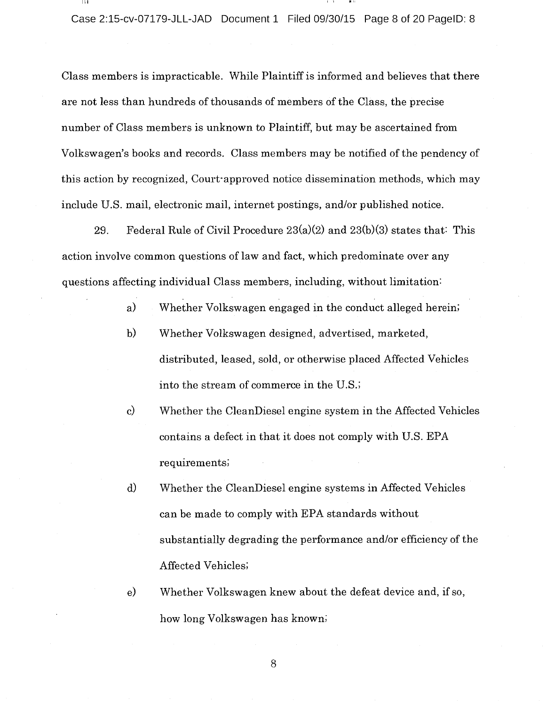Class members is impracticable. While Plaintiff is informed and believes that there are not less than hundreds of thousands of members of the Class, the precise number of Class members is unknown to Plaintiff, but may be ascertained from Volkswagen's books and records. Class members may be notified of the pendency of this action by recognized, Court-approved notice dissemination methods, which may include U.S. mail, electronic mail, internet postings, and/or published notice.

29. Federal Rule of Civil Procedure  $23(a)(2)$  and  $23(b)(3)$  states that: This action involve common questions of law and fact, which predominate over any questions affecting individual Class members, including, without limitation:

- a) Whether Volkswagen engaged in the conduct alleged herein;
- b) Whether Volkswagen designed, advertised, marketed, distributed, leased, sold, or otherwise placed Affected Vehicles into the stream of commerce in the U.S.;
- $\mathbf{c}$ Whether the CleanDiesel engine system in the Affected Vehicles contains <sup>a</sup> defect in that it does not comply with U.S. EPA requirements;
- d) Whether the CleanDiesel engine systems in Affected Vehicles can be made to comply with EPA standards without substantially degrading the performance and/or efficiency of the Affected Vehicles;
- e) Whether Volkswagen knew about the defeat device and, if so, how long Volkswagen has known;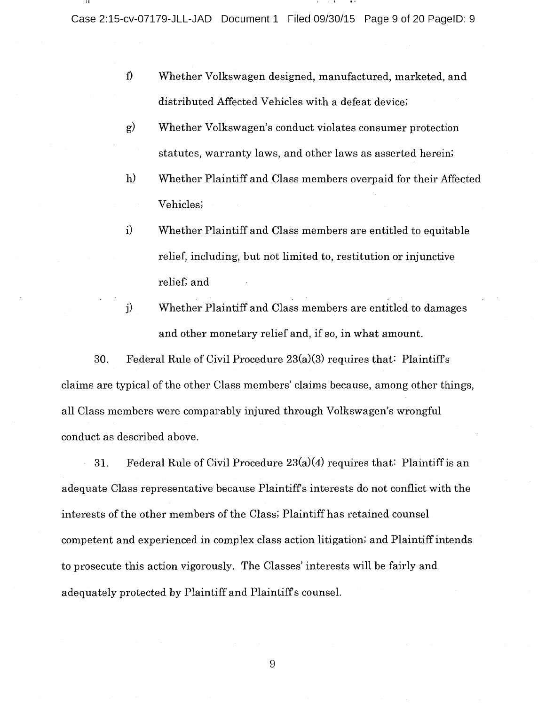Case 2:15-cv-07179-JLL-JAD Document 1 Filed 09/30/15 Page 9 of 20 PagelD: 9

- f) Whether Volkswagen designed, manufactured, marketed, and distributed Affected Vehicles with a defeat device;
- $\mathbf{g}$ Whether Volkswagen's conduct violates consumer protection statutes, warranty laws, and other laws as asserted herein;
- $h)$ Whether Plaintiff and Class members overpaid for their Affected Vehicles;
- $\mathbf{i}$ Whether Plaintiff and Class members are entitled to equitable relief, including, but not limited to, restitution or injunetive relief; and
- j) Whether Plaintiff and Class members are entitled to damages and other monetary relief and, if so, in what amount.

30. Federal Rule of Civil Procedure 23(a)(3) requires that: Plaintiffs claims are typical of the other Class members' claims because, among other things, all Class members were comparably injured through Volkswagen's wrongful conduct as described above.

31. Federal Rule of Civil Procedure  $23(a)(4)$  requires that: Plaintiff is an adequate Class representative because Plaintiff <sup>s</sup> interests do not conflict with the interests of the other members of the Class; Plaintiff has retained counsel competent and experienced in complex class action litigation; and Plaintiff intends to prosecute this action vigorously. The Classes' interests will be fairly and adequately protected by Plaintiff and Plaintiff <sup>s</sup> counsel.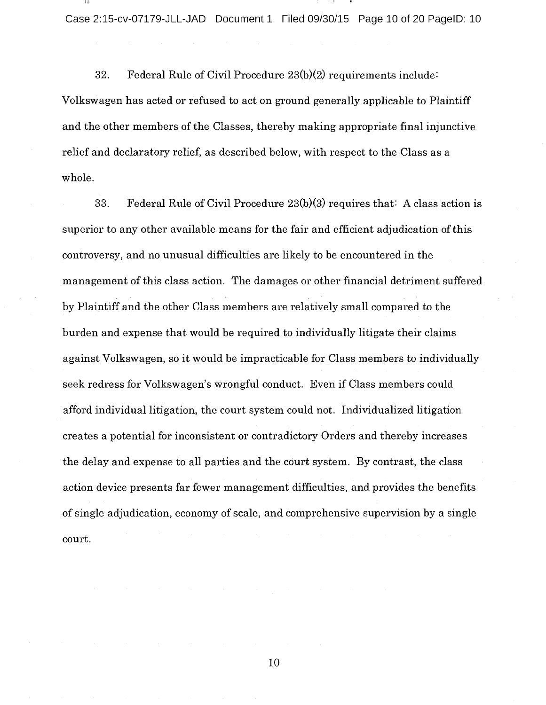Case 2:15-cv-07179-JLL-JAD Document 1 Filed 09/30/15 Page 10 of 20 PagelD: 10

32. Federal Rule of Civil Procedure 23(b)(2) requirements include: Volkswagen has acted or refused to act on ground generally applicable to Plaintiff and the other members of the Classes, thereby making appropriate final injunctive relief and declaratory relief, as described below, with respect to the Class as <sup>a</sup> whole.

33. Federal Rule of Civil Procedure 23(b)(3) requires that: A class action is superior to any other available means for the fair and efficient adjudication of this controversy, and no unusual difficulties are likely to be encountered in the management of this class action. The damages or other financial detriment suffered by Plaintiff and the other Class members are relatively small compared to the burden and expense that would be required to individually litigate their claims against Volkswagen, so it would be impracticable for Class members to individually seek redress for Volkswagen's wrongful conduct. Even if Class members could afford individual litigation, the court system could not. Individualized litigation creates <sup>a</sup> potential for inconsistent or contradictory Orders and thereby increases the delay and expense to all parties and the court system. By contrast, the class action device presents far fewer management difficulties, and provides the benefits of single adjudication, economy of scale, and comprehensive supervision by <sup>a</sup> single court.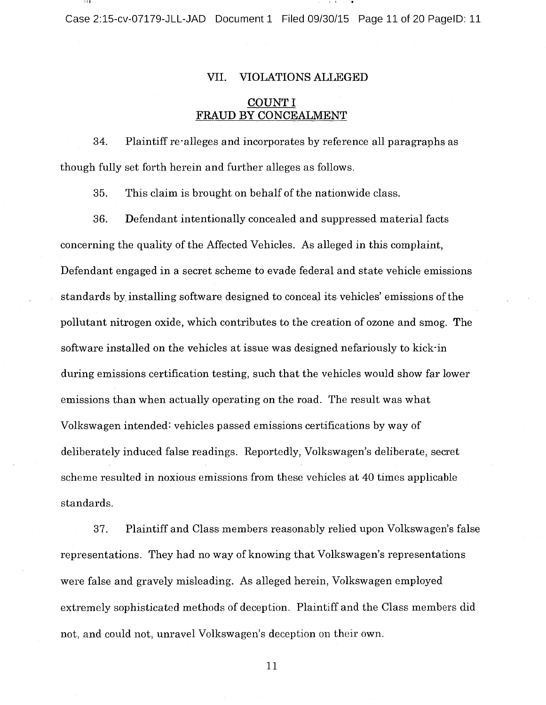Case 2:15-cv-07179-JLL-JAD Document 1 Filed 09/30/15 Page 11 of 20 PagelD: 11

#### VII. VIOLATIONS ALLEGED

## COUNT I FRAUD BY CONCEALMENT

34. Plaintiff re-alleges and incorporates by reference all paragraphs as though fully set forth herein and further alleges as follows.

35. This claim is brought on behalf of the nationwide class.

36. Defendant intentionally concealed and suppressed material facts concerning the quality of the Affected Vehicles. As alleged in this complaint, Defendant engaged in <sup>a</sup> secret scheme to evade federal and state vehicle emissions standards by installing software designed to conceal its vehicles' emissions ofthe pollutant nitrogen oxide, which contributes to the creation of ozone and smog. The software installed on the vehicles at issue was designed nefariously to kick-in during emissions certification testing, such that the vehicles would show far lower emissions than when actually operating on the road. The result was what Volkswagen intended: vehicles passed emissions certifications by way of deliberately induced false readings. Reportedly, Volkswagen's deliberate, secret scheme resulted in noxious emissions from these vehicles at 40 times applicable standards.

37. Plaintiff and Class members reasonably relied upon Volkswagen's false representations. They had no way of knowing that Volkswagen's representations were false and gravely misleading. As alleged herein, Volkswagen employed extremely sophisticated methods of deception. Plaintiff and the Class members did not, and could not, unravel Volkswagen's deception on their own.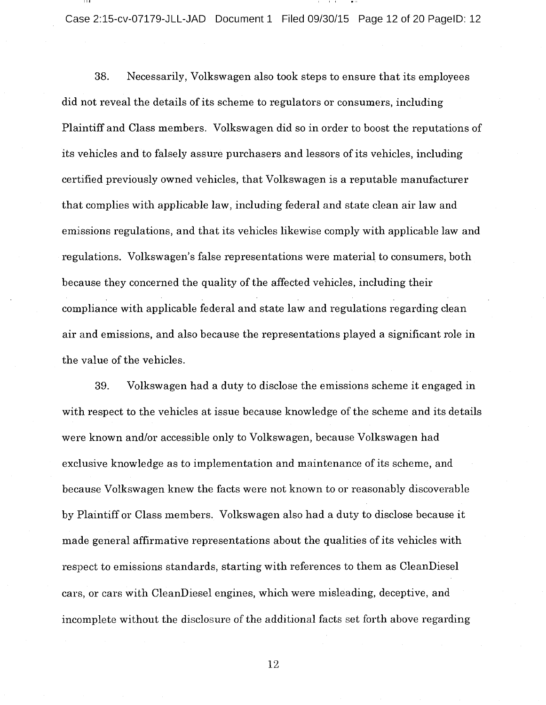Case 2:15-cv-07179-JLL-JAD Document 1 Filed 09/30/15 Page 12 of 20 PagelD: 12

38. Necessarily, Volkswagen also took steps to ensure that its employees did not reveal the details of its scheme to regulators or consumers, including Plaintiff and Class members. Volkswagen did so in order to boost the reputations of its vehicles and to falsely assure purchasers and lessors of its vehicles, including certified previously owned vehicles, that Volkswagen is <sup>a</sup> reputable manufacturer that complies with applicable law, including federal and state clean air law and emissions regulations, and that its vehicles likewise comply with applicable law and regulations. Volkswagen's false representations were material to consumers, both because they concerned the quality of the affected vehicles, including their compliance with applicable federal and state law and regulations regarding clean air and emissions, and also because the representations played <sup>a</sup> significant role in the value of the vehicles.

39. Volkswagen had <sup>a</sup> duty to disclose the emissions scheme it engaged in with respect to the vehicles at issue because knowledge of the scheme and its details were known and/or accessible only to Volkswagen, because Volkswagen had exclusive knowledge as to implementation and maintenance of its scheme, and because Volkswagen knew the facts were not known to or reasonably discoverable by Plaintiff or Class members. Volkswagen also had <sup>a</sup> duty to disclose because it made general affirmative representations about the qualities of its vehicles with respect to emissions standards, starting with references to them as CleanDiesel cars, or cars with CleanDiesel engines, which were misleading, deceptive, and incomplete without the disclosure of the additional facts set forth above regarding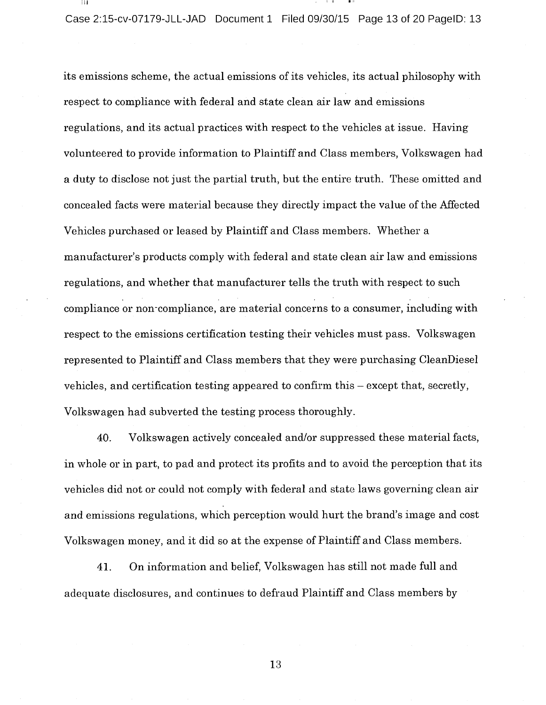Case 2:15-cv-07179-JLL-JAD Document 1 Filed 09/30/15 Page 13 of 20 PagelD: 13

its emissions scheme, the actual emissions of its vehicles, its actual philosophy with respect to compliance with federal and state clean air law and emissions regulations, and its actual practices with respect to the vehicles at issue. Having volunteered to provide information to Plaintiff and Class members, Volkswagen had <sup>a</sup> duty to disclose not just the partial truth, but the entire truth. These omitted and concealed facts were material because they directly impact the value of the Affected Vehicles purchased or leased by Plaintiff and Class members. Whether <sup>a</sup> manufacturer's products comply with federal and state clean air law and emissions regulations, and whether that manufacturer tells the truth with respect to such compliance or non-compliance, are material concerns to <sup>a</sup> consumer, including with respect to the emissions certification testing their vehicles must pass. Volkswagen represented to Plaintiff and Class members that they were purchasing CleanDiesel vehicles, and certification testing appeared to confirm this – except that, secretly, Volkswagen had subverted the testing process thoroughly.

40. Volkswagen actively concealed and/or suppressed these material facts, in whole or in part, to pad and protect its profits and to avoid the perception that its vehicles did not or could not comply with federal and state laws governing clean air and emissions regulations, which perception would hurt the brand's image and cost Volkswagen money, and it did so at the expense of Plaintiff and Class members.

41. On information and belief, Volkswagen has still not made full and adequate disclosures, and continues to defraud Plaintiff and Class members by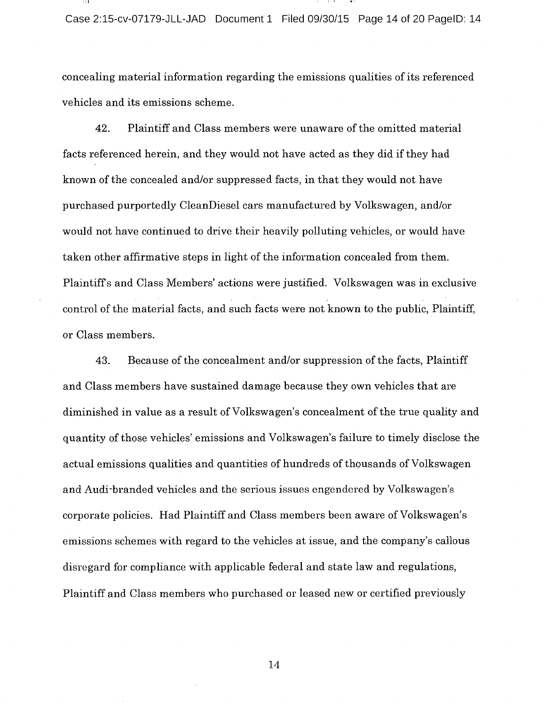concealing material information regarding the emissions qualities of its referenced vehicles and its emissions scheme.

42. Plaintiff and Class members were unaware of the omitted material facts referenced herein, and they would not have acted as they did if they had known of the concealed and/or suppressed facts, in that they would not have purchased purportedly CleanDiesel cars manufactured by Volkswagen, and/or would not have continued to drive their heavily polluting vehicles, or would have taken other affirmative steps in light of the information concealed from them. Plaintiffs and Class Members' actions were justified. Volkswagen was in exclusive control of the material facts, and such facts were not known to the public, Plaintiff, or Class members.

43. Because of the concealment and/or suppression of the facts, Plaintiff and Class members have sustained damage because they own vehicles that are diminished in value as a result of Volkswagen's concealment of the true quality and quantity of those vehicles' emissions and Volkswagen's failure to timely disclose the actual emissions qualities and quantities of hundreds of thousands of Volkswagen and Audi-branded vehicles and the serious issues engendered by Volkswagen's corporate policies. Had Plaintiff and Class members been aware of Volkswagen's emissions schemes with regard to the vehicles at issue, and the company's callous disregard for compliance with applicable federal and state law and regulations, Plaintiff and Class members who purchased or leased new or certified previously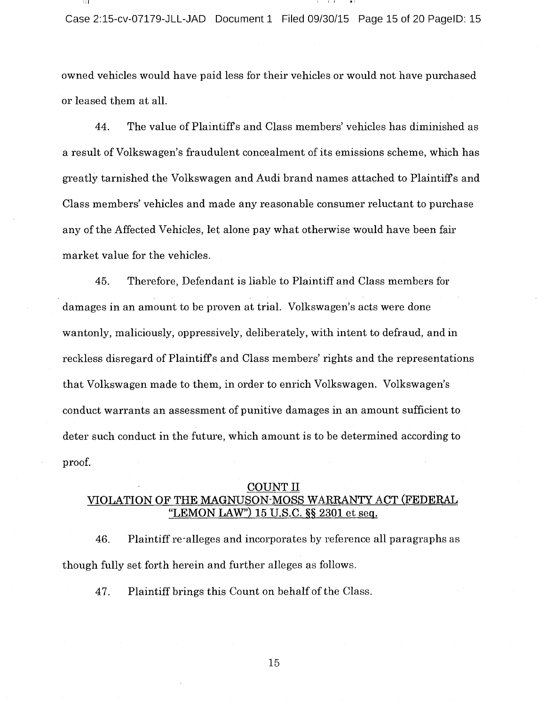owned vehicles would have paid less for their vehicles or would not have purchased or leased them at all.

44. The value of Plaintiff's and Class members' vehicles has diminished as a result of Volkswagen's fraudulent concealment of its emissions scheme, which has greatly tarnished the Volkswagen and Audi brand names attached to Plaintiff <sup>s</sup> and Class members' vehicles and made any reasonable consumer reluctant to purchase any of the Affected Vehicles, let alone pay what otherwise would have been fair market value for the vehicles.

45. Therefore, Defendant is liable to Plaintiff and Class members for damages in an amount to be proven at trial. Volkswagen's acts were done wantonly, maliciously, oppressively, deliberately, with intent to defraud, and in reckless disregard of Plaintiff's and Class members' rights and the representations that Volkswagen made to them, in order to enrich Volkswagen. Volkswagen's conduct warrants an assessment of punitive damages in an amount sufficient to deter such conduct in the future, which amount is to be determined according to proof.

## **COUNT II** VIOLATION OF THE MAGNUSON-MOSS WARRANTY ACT (FEDERAL "LEMON LAW") 15 U.S.C. §§ 2301 et seq.

46. Plaintiff re-alleges and incorporates by reference all paragraphs as though fully set forth herein and further alleges as follows.

47. Plaintiff brings this Count on behalf of the Class.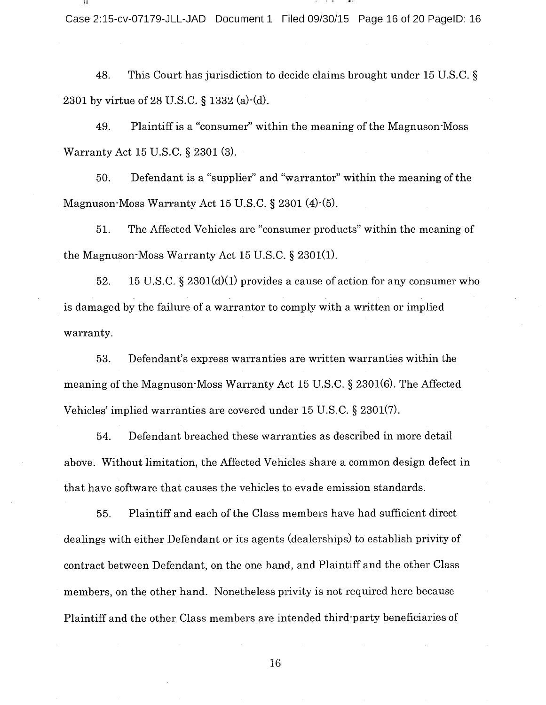Case 2:15-cv-07179-JLL-JAD Document 1 Filed 09/30/15 Page 16 of 20 PagelD: 16

48. This Court has jurisdiction to decide claims brought under <sup>15</sup> U.S.C. 2301 by virtue of 28 U.S.C. § 1332 (a) $\cdot$ (d).

49. Plaintiff is <sup>a</sup> "consumer" within the meaning of the Magnuson-Moss Warranty Act 15 U.S.C. § 2301 (3).

50. Defendant is <sup>a</sup> "supplier" and "warrantor" within the meaning of the Magnuson-Moss Warranty Act 15 U.S.C.  $\S 2301 (4)-(5)$ .

51. The Affected Vehicles are "consumer products" within the meaning of the Magnuson-Moss Warranty Act  $15$  U.S.C. § 2301(1).

52. 15 U.S.C.  $\S 2301(d)(1)$  provides a cause of action for any consumer who is damaged by the failure of <sup>a</sup> warrantor to comply with <sup>a</sup> written or implied warranty.

53. Defendant's express warranties are written warranties within the meaning of the Magnuson-Moss Warranty Act 15 U.S.C.  $\S 2301(6)$ . The Affected Vehicles' implied warranties are covered under  $15$  U.S.C.  $\S$   $2301(7)$ .

54. Defendant breached these warranties as described in more detail above. Without limitation, the Affected Vehicles share <sup>a</sup> common design defect in that have software that causes the vehicles to evade emission standards.

55. Plaintiff and each of the Class members have had sufficient direct dealings with either Defendant or its agents (dealerships) to establish privity of contract between Defendant, on the one hand, and Plaintiff and the other Class members, on the other hand. Nonetheless privity is not required here because Plaintiff and the other Class members are intended third-party beneficiaries of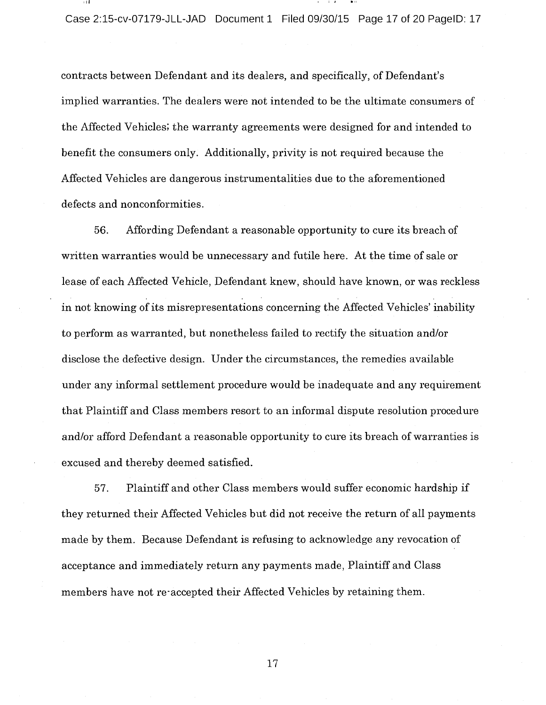contracts between Defendant and its dealers, and specifically, of Defendant's implied warranties. The dealers were not intended to be the ultimate consumers of the Affected Vehicles; the warranty agreements were designed for and intended to benefit the consumers only. Additionally, privity is not required because the Affected Vehicles are dangerous instrumentalities due to the aforementioned defects and nonconformities.

56. Affording Defendant <sup>a</sup> reasonable opportunity to cure its breach of written warranties would be unnecessary and futile here. At the time of sale or lease of each Affected Vehicle, Defendant knew, should have known, or was reckless in not knowing of its misrepresentations concerning the Affected Vehicles' inability to perform as warranted, but nonetheless failed to rectify the situation and/or disclose the defective design. Under the circumstances, the remedies available under any informal settlement procedure would be inadequate and any requirement that Plaintiff and Class members resort to an informal dispute resolution procedure and/or afford Defendant <sup>a</sup> reasonable opportunity to cure its breach of warranties is excused and thereby deemed satisfied.

57. Plaintiff and other Class members would suffer economic hardship if they returned their Affected Vehicles but did not receive the return of all payments made by them. Because Defendant is refusing to acknowledge any revocation of acceptance and immediately return any payments made, Plaintiff and Class members have not re-accepted their Affected Vehicles by retaining them.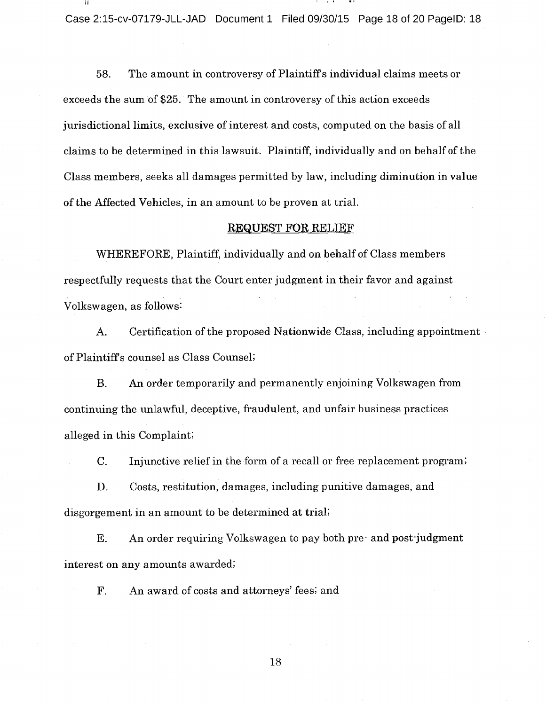Case 2:15-cv-07179-JLL-JAD Document 1 Filed 09/30/15 Page 18 of 20 PagelD: 18

58. The amount in controversy of Plaintiff <sup>s</sup> individual claims meets or exceeds the sum of \$25. The amount in controversy of this action exceeds jurisdictional limits, exclusive of interest and costs, computed on the basis of all claims to be determined in this lawsuit. Plaintiff, individually and on behalf of the Class members, seeks all damages permitted by law, including diminution in value of the Affected Vehicles, in an amount to be proven at trial.

#### REQUEST FOR RELIEF

WHEREFORE, Plaintiff, individually and on behalf of Class members respectfully requests that the Court enter judgment in their favor and against Volkswagen, as follows:

A. Certification of the proposed Nationwide Class, including appointment of Plaintiffs counsel as Class Counsel;

B. An order temporarily and permanently enjoining Volkswagen from continuing the unlawful, deceptive, fraudulent, and unfair business practices alleged in this Complaint;

C. Injunctive relief in the form of <sup>a</sup> recall or free replacement program;

D. Costs, restitution, damages, including punitive damages, and disgorgement in an amount to be determined at trial;

E. An order requiring Volkswagen to pay both pre- and post-judgment interest on any amounts awarded;

F. An award of costs and attorneys' fees; and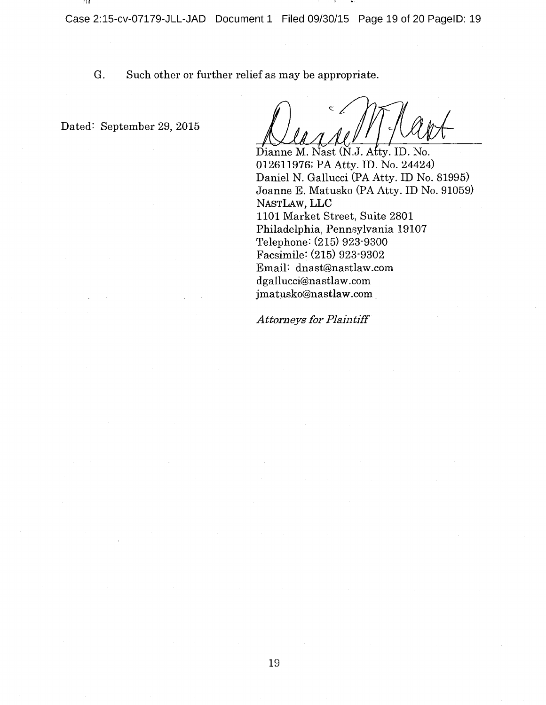G. Such other or further relief as may be appropriate.

Dated: September 29, 2015

-111

Dianne M. Nast (N.J. Atty. ID. No. 012611976; PA Atty. ID. No. 24424) Daniel N. Gallucci (PA Atty. ID No. 81995) Joanne E. Matusko (PA Atty. ID No. 91059) NASTLAW, LLC 1101 Market Street, Suite 2801 Philadelphia, Pennsylvania 19107 Telephone: (215) 923-9300 Facsimile: (215) 923-9302 Email: dnast@nastlaw.com dgallucci@nastlaw.com jmatusko@nastlaw.com

## Attorneys for Plaintiff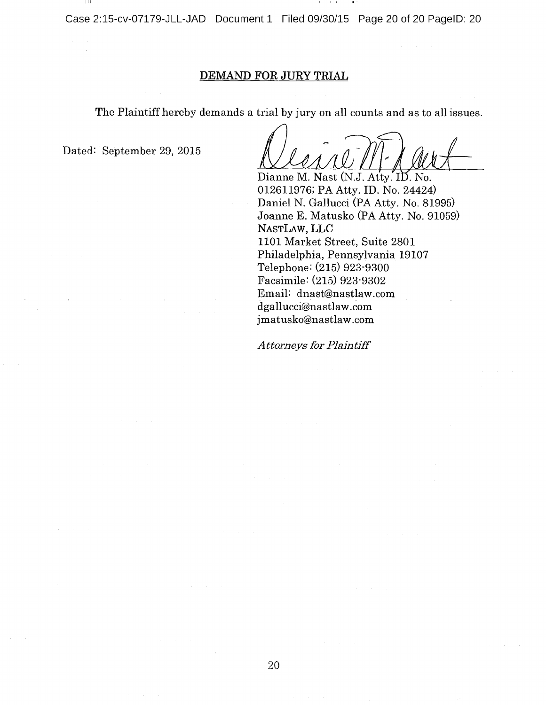Case 2:15-cv-07179-JLL-JAD Document 1 Filed 09/30/15 Page 20 of 20 PagelD: 20

# DEMAND FOR JURY TRIAL

The Plaintiff hereby demands <sup>a</sup> trial by jury on all counts and as to all issues.

Dated: September 29, 2015

4

Dianne M. Nast (N.J. Atty. ID. No. 012611976; PA Atty. ID. No. 24424) Daniel N. Gallucci (PA Atty. No. 81995) Joanne E. Matusko (PA Atty. No. 91059) NASTLAW, LLC 1101 Market Street, Suite 2801 Philadelphia, Pennsylvania 19107 Telephone: (215) 923-9300 Facsimile: (215) 923-9302 Email: dnast@nastlaw.com dgallucci@nastlaw.com jmatusko@nastlaw.com

**Attorneys for Plaintiff**